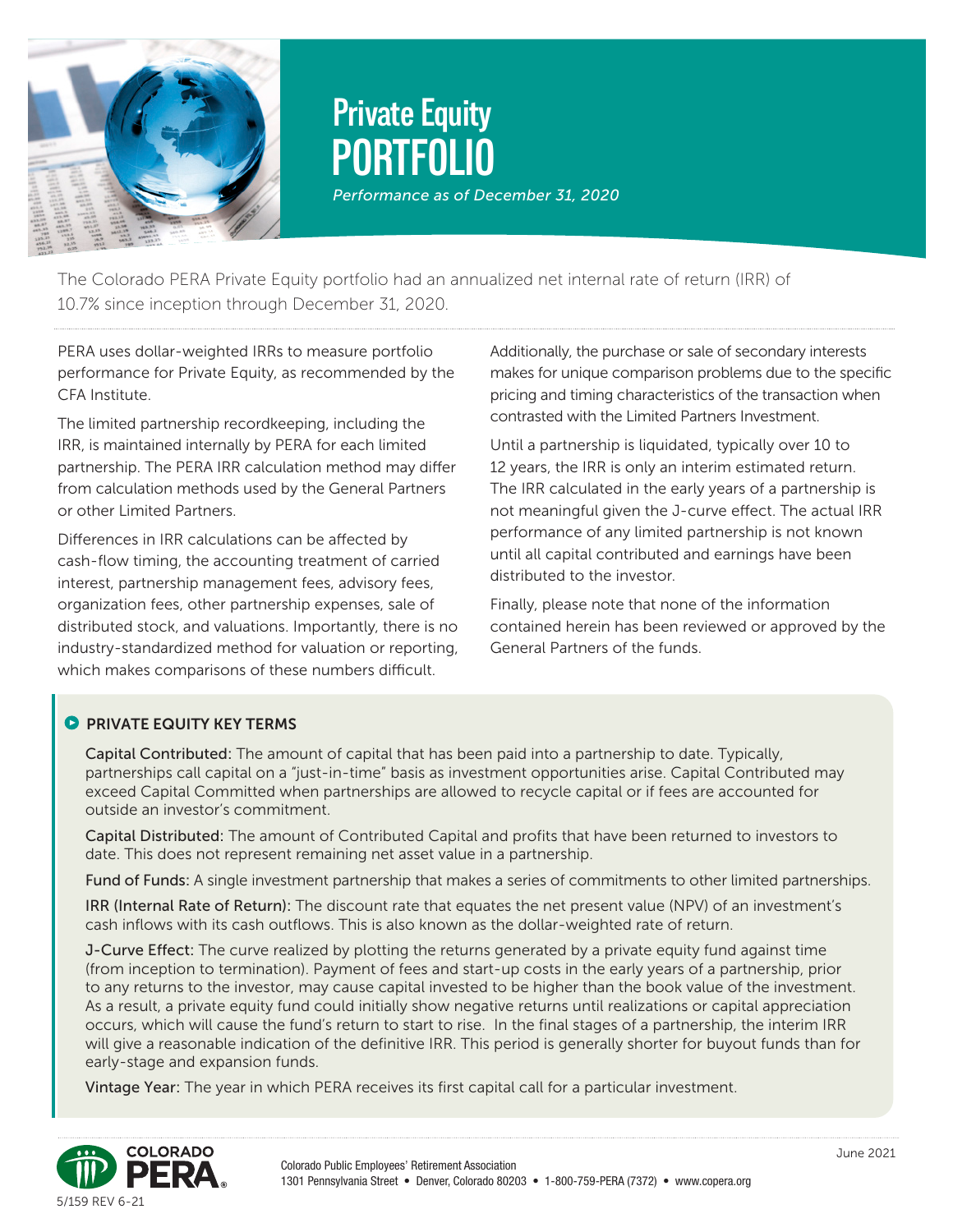

# **PORTFOLIO Private Equity**  *Performance as of December 31, 2020*

The Colorado PERA Private Equity portfolio had an annualized net internal rate of return (IRR) of

10.7% since inception through December 31, 2020.

PERA uses dollar-weighted IRRs to measure portfolio performance for Private Equity, as recommended by the CFA Institute.

The limited partnership recordkeeping, including the IRR, is maintained internally by PERA for each limited partnership. The PERA IRR calculation method may differ from calculation methods used by the General Partners or other Limited Partners.

Differences in IRR calculations can be affected by cash-flow timing, the accounting treatment of carried interest, partnership management fees, advisory fees, organization fees, other partnership expenses, sale of distributed stock, and valuations. Importantly, there is no industry-standardized method for valuation or reporting, which makes comparisons of these numbers difficult.

Additionally, the purchase or sale of secondary interests makes for unique comparison problems due to the specific pricing and timing characteristics of the transaction when contrasted with the Limited Partners Investment.

Until a partnership is liquidated, typically over 10 to 12 years, the IRR is only an interim estimated return. The IRR calculated in the early years of a partnership is not meaningful given the J-curve effect. The actual IRR performance of any limited partnership is not known until all capital contributed and earnings have been distributed to the investor.

Finally, please note that none of the information contained herein has been reviewed or approved by the General Partners of the funds.

#### **PRIVATE FOUITY KEY TERMS**

Capital Contributed: The amount of capital that has been paid into a partnership to date. Typically, partnerships call capital on a "just-in-time" basis as investment opportunities arise. Capital Contributed may exceed Capital Committed when partnerships are allowed to recycle capital or if fees are accounted for outside an investor's commitment.

Capital Distributed: The amount of Contributed Capital and profits that have been returned to investors to date. This does not represent remaining net asset value in a partnership.

Fund of Funds: A single investment partnership that makes a series of commitments to other limited partnerships.

IRR (Internal Rate of Return): The discount rate that equates the net present value (NPV) of an investment's cash inflows with its cash outflows. This is also known as the dollar-weighted rate of return.

J-Curve Effect: The curve realized by plotting the returns generated by a private equity fund against time (from inception to termination). Payment of fees and start-up costs in the early years of a partnership, prior to any returns to the investor, may cause capital invested to be higher than the book value of the investment. As a result, a private equity fund could initially show negative returns until realizations or capital appreciation occurs, which will cause the fund's return to start to rise. In the final stages of a partnership, the interim IRR will give a reasonable indication of the definitive IRR. This period is generally shorter for buyout funds than for early-stage and expansion funds.

Vintage Year: The year in which PERA receives its first capital call for a particular investment.

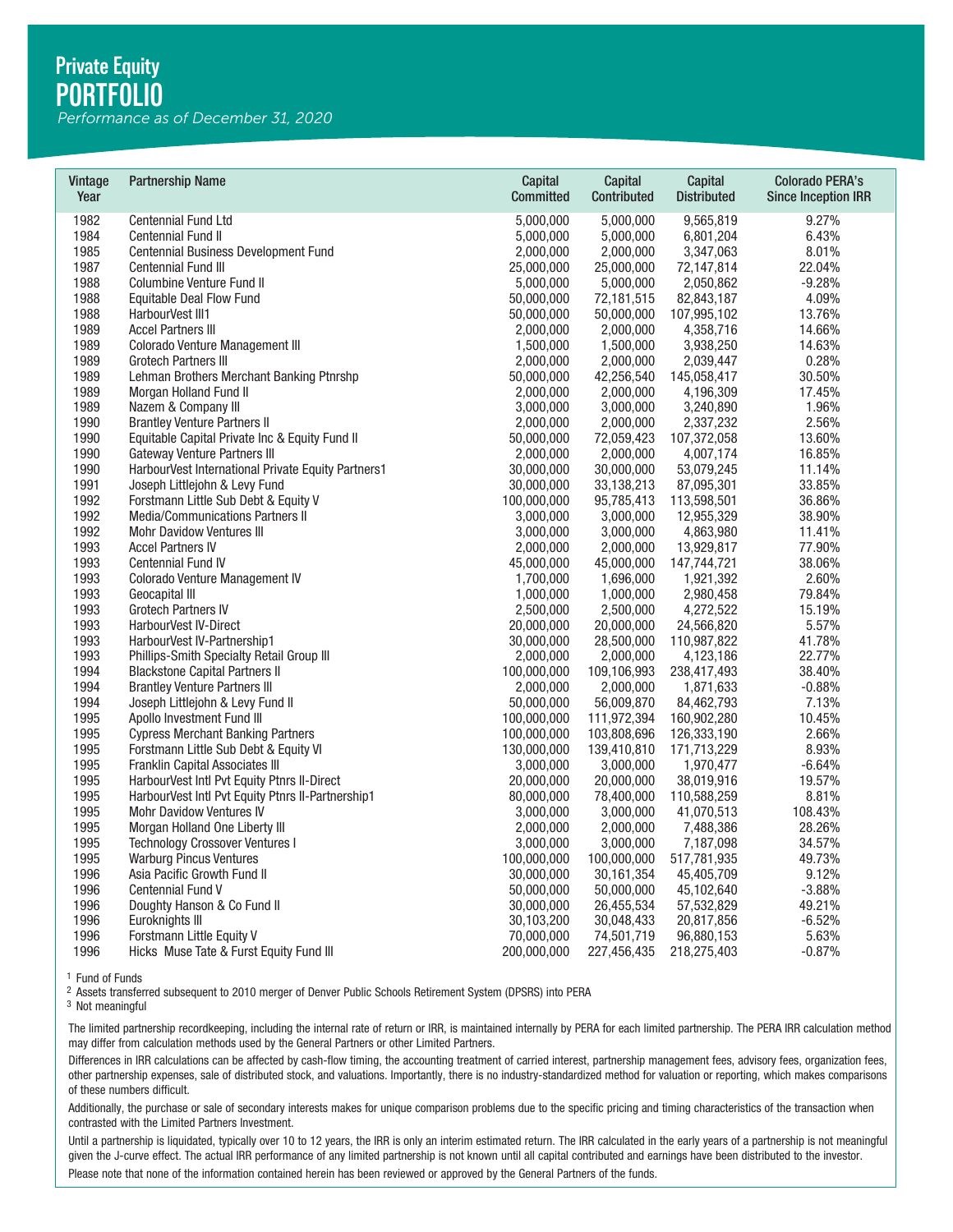*Performance as of December 31, 2020*

| Vintage<br>Year | <b>Partnership Name</b>                            | Capital<br><b>Committed</b> | Capital<br>Contributed | Capital<br><b>Distributed</b> | <b>Colorado PERA's</b><br><b>Since Inception IRR</b> |
|-----------------|----------------------------------------------------|-----------------------------|------------------------|-------------------------------|------------------------------------------------------|
| 1982            | <b>Centennial Fund Ltd</b>                         | 5,000,000                   | 5,000,000              | 9,565,819                     | 9.27%                                                |
| 1984            | <b>Centennial Fund II</b>                          | 5,000,000                   | 5,000,000              | 6,801,204                     | 6.43%                                                |
| 1985            | Centennial Business Development Fund               | 2,000,000                   | 2,000,000              | 3,347,063                     | 8.01%                                                |
| 1987            | Centennial Fund III                                | 25,000,000                  | 25,000,000             | 72,147,814                    | 22.04%                                               |
| 1988            | <b>Columbine Venture Fund II</b>                   | 5,000,000                   | 5,000,000              | 2,050,862                     | $-9.28%$                                             |
| 1988            | <b>Equitable Deal Flow Fund</b>                    | 50,000,000                  | 72,181,515             | 82,843,187                    | 4.09%                                                |
| 1988            | HarbourVest III1                                   | 50,000,000                  | 50,000,000             | 107,995,102                   | 13.76%                                               |
| 1989            | <b>Accel Partners III</b>                          | 2,000,000                   | 2,000,000              | 4,358,716                     | 14.66%                                               |
| 1989            | <b>Colorado Venture Management III</b>             | 1,500,000                   | 1,500,000              | 3,938,250                     | 14.63%                                               |
| 1989            | <b>Grotech Partners III</b>                        | 2,000,000                   | 2,000,000              | 2,039,447                     | 0.28%                                                |
| 1989            | Lehman Brothers Merchant Banking Ptnrshp           | 50,000,000                  | 42,256,540             | 145,058,417                   | 30.50%                                               |
| 1989            | Morgan Holland Fund II                             | 2,000,000                   | 2,000,000              | 4,196,309                     | 17.45%                                               |
| 1989            | Nazem & Company III                                | 3,000,000                   | 3,000,000              | 3,240,890                     | 1.96%                                                |
| 1990            | <b>Brantley Venture Partners II</b>                | 2,000,000                   | 2,000,000              | 2,337,232                     | 2.56%                                                |
| 1990            | Equitable Capital Private Inc & Equity Fund II     | 50,000,000                  | 72,059,423             | 107,372,058                   | 13.60%                                               |
| 1990            | <b>Gateway Venture Partners III</b>                | 2,000,000                   | 2,000,000              | 4,007,174                     | 16.85%                                               |
| 1990            | HarbourVest International Private Equity Partners1 | 30,000,000                  | 30,000,000             | 53,079,245                    | 11.14%                                               |
| 1991            | Joseph Littlejohn & Levy Fund                      | 30,000,000                  | 33,138,213             | 87,095,301                    | 33.85%                                               |
| 1992            | Forstmann Little Sub Debt & Equity V               | 100,000,000                 | 95,785,413             | 113,598,501                   | 36.86%                                               |
| 1992            | Media/Communications Partners II                   | 3,000,000                   | 3,000,000              | 12,955,329                    | 38.90%                                               |
| 1992            | <b>Mohr Davidow Ventures III</b>                   | 3,000,000                   | 3,000,000              | 4,863,980                     | 11.41%                                               |
| 1993            | <b>Accel Partners IV</b>                           | 2,000,000                   | 2,000,000              | 13,929,817                    | 77.90%                                               |
| 1993            | <b>Centennial Fund IV</b>                          | 45,000,000                  | 45,000,000             | 147,744,721                   | 38.06%                                               |
| 1993            | Colorado Venture Management IV                     | 1,700,000                   | 1,696,000              | 1,921,392                     | 2.60%                                                |
| 1993            | Geocapital III                                     | 1,000,000                   | 1,000,000              | 2,980,458                     | 79.84%                                               |
| 1993            | <b>Grotech Partners IV</b>                         | 2,500,000                   | 2,500,000              | 4,272,522                     | 15.19%                                               |
| 1993            | HarbourVest IV-Direct                              | 20,000,000                  | 20,000,000             | 24,566,820                    | 5.57%                                                |
| 1993            | HarbourVest IV-Partnership1                        | 30,000,000                  | 28,500,000             | 110,987,822                   | 41.78%                                               |
| 1993            | Phillips-Smith Specialty Retail Group III          | 2,000,000                   | 2,000,000              | 4,123,186                     | 22.77%                                               |
| 1994            | <b>Blackstone Capital Partners II</b>              | 100,000,000                 | 109,106,993            | 238,417,493                   | 38.40%                                               |
| 1994            | <b>Brantley Venture Partners III</b>               | 2,000,000                   | 2,000,000              | 1,871,633                     | $-0.88%$                                             |
| 1994            | Joseph Littlejohn & Levy Fund II                   | 50,000,000                  | 56,009,870             | 84,462,793                    | 7.13%                                                |
| 1995            | Apollo Investment Fund III                         | 100,000,000                 | 111,972,394            | 160,902,280                   | 10.45%                                               |
| 1995            | <b>Cypress Merchant Banking Partners</b>           | 100,000,000                 | 103,808,696            | 126,333,190                   | 2.66%                                                |
| 1995            | Forstmann Little Sub Debt & Equity VI              | 130,000,000                 | 139,410,810            | 171,713,229                   | 8.93%                                                |
| 1995            | <b>Franklin Capital Associates III</b>             | 3,000,000                   | 3,000,000              | 1,970,477                     | $-6.64%$                                             |
| 1995            | HarbourVest Intl Pvt Equity Ptnrs II-Direct        | 20,000,000                  | 20,000,000             | 38,019,916                    | 19.57%                                               |
| 1995            | HarbourVest Intl Pvt Equity Ptnrs II-Partnership1  | 80,000,000                  | 78,400,000             | 110,588,259                   | 8.81%                                                |
| 1995            | <b>Mohr Davidow Ventures IV</b>                    | 3,000,000                   | 3,000,000              | 41,070,513                    | 108.43%                                              |
| 1995            | Morgan Holland One Liberty III                     | 2,000,000                   | 2,000,000              | 7,488,386                     | 28.26%                                               |
| 1995            | <b>Technology Crossover Ventures I</b>             | 3,000,000                   | 3,000,000              | 7,187,098                     | 34.57%                                               |
| 1995            | <b>Warburg Pincus Ventures</b>                     | 100,000,000                 | 100,000,000            | 517,781,935                   | 49.73%                                               |
| 1996            | Asia Pacific Growth Fund II                        | 30,000,000                  | 30, 161, 354           | 45,405,709                    | 9.12%                                                |
| 1996            | Centennial Fund V                                  | 50,000,000                  | 50,000,000             | 45,102,640                    | $-3.88%$                                             |
| 1996            | Doughty Hanson & Co Fund II                        | 30,000,000                  | 26,455,534             | 57,532,829                    | 49.21%                                               |
| 1996            | Euroknights III                                    | 30,103,200                  | 30,048,433             | 20,817,856                    | $-6.52%$                                             |
| 1996            | Forstmann Little Equity V                          | 70,000,000                  | 74,501,719             | 96,880,153                    | 5.63%                                                |
| 1996            | Hicks Muse Tate & Furst Equity Fund III            | 200.000.000                 | 227.456.435            | 218,275,403                   | $-0.87%$                                             |

The limited partnership recordkeeping, including the internal rate of return or IRR, is maintained internally by PERA for each limited partnership. The PERA IRR calculation method may differ from calculation methods used by the General Partners or other Limited Partners.

Differences in IRR calculations can be affected by cash-flow timing, the accounting treatment of carried interest, partnership management fees, advisory fees, organization fees, other partnership expenses, sale of distributed stock, and valuations. Importantly, there is no industry-standardized method for valuation or reporting, which makes comparisons of these numbers difficult. <sup>1</sup> Fund of Funds<br><sup>3</sup> Nsests transferred subsequent to 2010 merger of Denver Public Schools Retirement System (DPSRS) into PERA<br><sup>3</sup> Not meaningful<br><sup>3</sup> Not meaningful<br>The limited partnership recordkeeping, including the int

Additionally, the purchase or sale of secondary interests makes for unique comparison problems due to the specific pricing and timing characteristics of the transaction when contrasted with the Limited Partners Investment.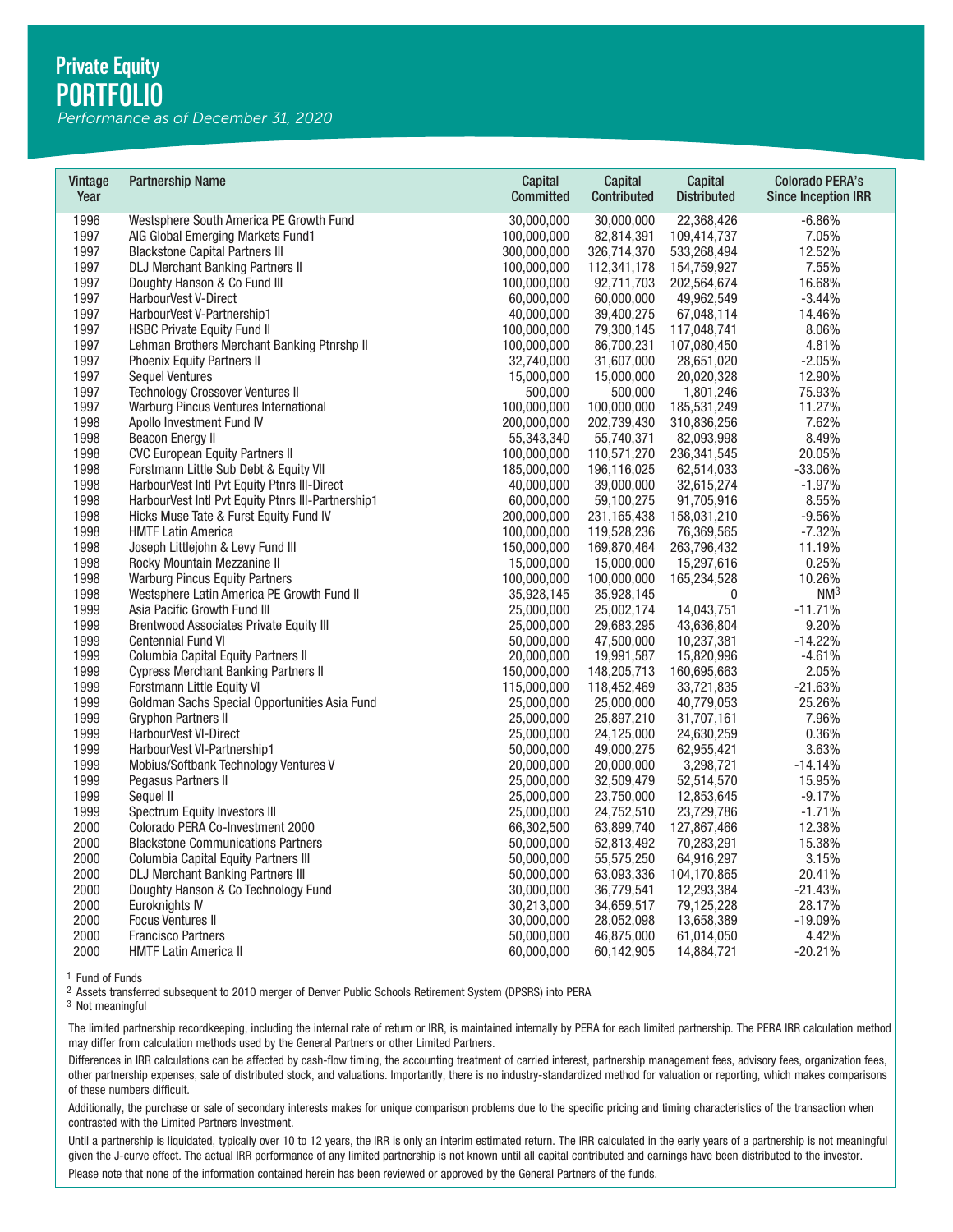*Performance as of December 31, 2020*

| Vintage<br>Year | <b>Partnership Name</b>                            | Capital<br><b>Committed</b> | Capital<br>Contributed | Capital<br><b>Distributed</b> | <b>Colorado PERA's</b><br><b>Since Inception IRR</b> |
|-----------------|----------------------------------------------------|-----------------------------|------------------------|-------------------------------|------------------------------------------------------|
| 1996            | Westsphere South America PE Growth Fund            | 30,000,000                  | 30,000,000             | 22,368,426                    | $-6.86%$                                             |
| 1997            | AIG Global Emerging Markets Fund1                  | 100,000,000                 | 82,814,391             | 109,414,737                   | 7.05%                                                |
| 1997            | <b>Blackstone Capital Partners III</b>             | 300,000,000                 | 326,714,370            | 533,268,494                   | 12.52%                                               |
| 1997            | <b>DLJ Merchant Banking Partners II</b>            | 100,000,000                 | 112,341,178            | 154,759,927                   | 7.55%                                                |
| 1997            | Doughty Hanson & Co Fund III                       | 100,000,000                 | 92,711,703             | 202,564,674                   | 16.68%                                               |
| 1997            | HarbourVest V-Direct                               | 60,000,000                  | 60,000,000             | 49,962,549                    | $-3.44%$                                             |
| 1997            | HarbourVest V-Partnership1                         | 40,000,000                  | 39,400,275             | 67,048,114                    | 14.46%                                               |
| 1997            | <b>HSBC Private Equity Fund II</b>                 | 100,000,000                 | 79,300,145             | 117,048,741                   | 8.06%                                                |
| 1997            | Lehman Brothers Merchant Banking Ptnrshp II        | 100,000,000                 | 86,700,231             | 107,080,450                   | 4.81%                                                |
| 1997            | <b>Phoenix Equity Partners II</b>                  | 32,740,000                  | 31,607,000             | 28,651,020                    | $-2.05%$                                             |
| 1997            | <b>Sequel Ventures</b>                             | 15,000,000                  | 15,000,000             | 20,020,328                    | 12.90%                                               |
| 1997            | <b>Technology Crossover Ventures II</b>            | 500,000                     | 500,000                | 1,801,246                     | 75.93%                                               |
| 1997            | Warburg Pincus Ventures International              | 100,000,000                 | 100,000,000            | 185,531,249                   | 11.27%                                               |
| 1998            | Apollo Investment Fund IV                          | 200,000,000                 | 202,739,430            | 310,836,256                   | 7.62%                                                |
| 1998            | <b>Beacon Energy II</b>                            | 55,343,340                  | 55,740,371             | 82,093,998                    | 8.49%                                                |
| 1998            | <b>CVC European Equity Partners II</b>             | 100,000,000                 | 110,571,270            | 236, 341, 545                 | 20.05%                                               |
| 1998            | Forstmann Little Sub Debt & Equity VII             | 185,000,000                 | 196,116,025            | 62,514,033                    | $-33.06%$                                            |
| 1998            | HarbourVest Intl Pvt Equity Ptnrs III-Direct       | 40,000,000                  | 39,000,000             | 32,615,274                    | $-1.97%$                                             |
| 1998            | HarbourVest Intl Pvt Equity Ptnrs III-Partnership1 | 60,000,000                  | 59,100,275             | 91,705,916                    | 8.55%                                                |
| 1998            | Hicks Muse Tate & Furst Equity Fund IV             | 200,000,000                 | 231,165,438            | 158,031,210                   | $-9.56%$                                             |
| 1998            | <b>HMTF Latin America</b>                          | 100,000,000                 | 119,528,236            | 76,369,565                    | $-7.32%$                                             |
| 1998            | Joseph Littlejohn & Levy Fund III                  | 150,000,000                 | 169,870,464            | 263,796,432                   | 11.19%                                               |
| 1998            | Rocky Mountain Mezzanine II                        | 15,000,000                  | 15,000,000             | 15,297,616                    | 0.25%                                                |
| 1998            | <b>Warburg Pincus Equity Partners</b>              | 100,000,000                 | 100,000,000            | 165,234,528                   | 10.26%                                               |
| 1998            | Westsphere Latin America PE Growth Fund II         | 35,928,145                  | 35,928,145             | $\mathbf 0$                   | NM <sup>3</sup>                                      |
| 1999            | Asia Pacific Growth Fund III                       | 25,000,000                  | 25,002,174             | 14,043,751                    | $-11.71%$                                            |
| 1999            | <b>Brentwood Associates Private Equity III</b>     | 25,000,000                  | 29,683,295             | 43,636,804                    | 9.20%                                                |
| 1999            | Centennial Fund VI                                 | 50,000,000                  | 47,500,000             | 10,237,381                    | $-14.22%$                                            |
| 1999            | Columbia Capital Equity Partners II                | 20,000,000                  | 19,991,587             | 15,820,996                    | $-4.61%$                                             |
| 1999            | <b>Cypress Merchant Banking Partners II</b>        | 150,000,000                 | 148,205,713            | 160,695,663                   | 2.05%                                                |
| 1999            | Forstmann Little Equity VI                         | 115,000,000                 | 118,452,469            | 33,721,835                    | $-21.63%$                                            |
| 1999            | Goldman Sachs Special Opportunities Asia Fund      | 25,000,000                  | 25,000,000             | 40,779,053                    | 25.26%                                               |
| 1999            | <b>Gryphon Partners II</b>                         | 25,000,000                  | 25,897,210             | 31,707,161                    | 7.96%                                                |
| 1999            | HarbourVest VI-Direct                              | 25,000,000                  | 24,125,000             | 24,630,259                    | 0.36%                                                |
| 1999            | HarbourVest VI-Partnership1                        | 50,000,000                  | 49,000,275             | 62,955,421                    | 3.63%                                                |
| 1999            | Mobius/Softbank Technology Ventures V              | 20,000,000                  | 20,000,000             | 3,298,721                     | $-14.14%$                                            |
| 1999            | Pegasus Partners II                                | 25,000,000                  | 32,509,479             | 52,514,570                    | 15.95%                                               |
| 1999            | Sequel II                                          | 25,000,000                  | 23,750,000             | 12,853,645                    | $-9.17%$                                             |
| 1999            | Spectrum Equity Investors III                      | 25,000,000                  | 24,752,510             | 23,729,786                    | $-1.71%$                                             |
| 2000            | Colorado PERA Co-Investment 2000                   | 66,302,500                  | 63,899,740             | 127,867,466                   | 12.38%                                               |
| 2000            | <b>Blackstone Communications Partners</b>          | 50,000,000                  | 52,813,492             | 70,283,291                    | 15.38%                                               |
| 2000            | Columbia Capital Equity Partners III               | 50,000,000                  | 55,575,250             | 64,916,297                    | 3.15%                                                |
| 2000            | <b>DLJ Merchant Banking Partners III</b>           | 50,000,000                  | 63,093,336             | 104,170,865                   | 20.41%                                               |
| 2000            | Doughty Hanson & Co Technology Fund                | 30,000,000                  | 36,779,541             | 12,293,384                    | $-21.43%$                                            |
| 2000            | Euroknights IV                                     | 30,213,000                  | 34,659,517             | 79,125,228                    | 28.17%                                               |
| 2000            | <b>Focus Ventures II</b>                           | 30,000,000                  | 28,052,098             | 13,658,389                    | $-19.09%$                                            |
| 2000            | <b>Francisco Partners</b>                          | 50,000,000                  | 46,875,000             | 61,014,050                    | 4.42%                                                |
| 2000            | <b>HMTF Latin America II</b>                       | 60.000.000                  | 60.142.905             | 14.884.721                    | $-20.21%$                                            |

The limited partnership recordkeeping, including the internal rate of return or IRR, is maintained internally by PERA for each limited partnership. The PERA IRR calculation method may differ from calculation methods used by the General Partners or other Limited Partners.

Differences in IRR calculations can be affected by cash-flow timing, the accounting treatment of carried interest, partnership management fees, advisory fees, organization fees, other partnership expenses, sale of distributed stock, and valuations. Importantly, there is no industry-standardized method for valuation or reporting, which makes comparisons of these numbers difficult. <sup>1</sup> Fund of Funds<br><sup>3</sup> Nsests transferred subsequent to 2010 merger of Denver Public Schools Retirement System (DPSRS) into PERA<br><sup>3</sup> Not meaningful<br><sup>3</sup> Not meaningful<br>The limited partnership recordkeeping, including the int

Additionally, the purchase or sale of secondary interests makes for unique comparison problems due to the specific pricing and timing characteristics of the transaction when contrasted with the Limited Partners Investment.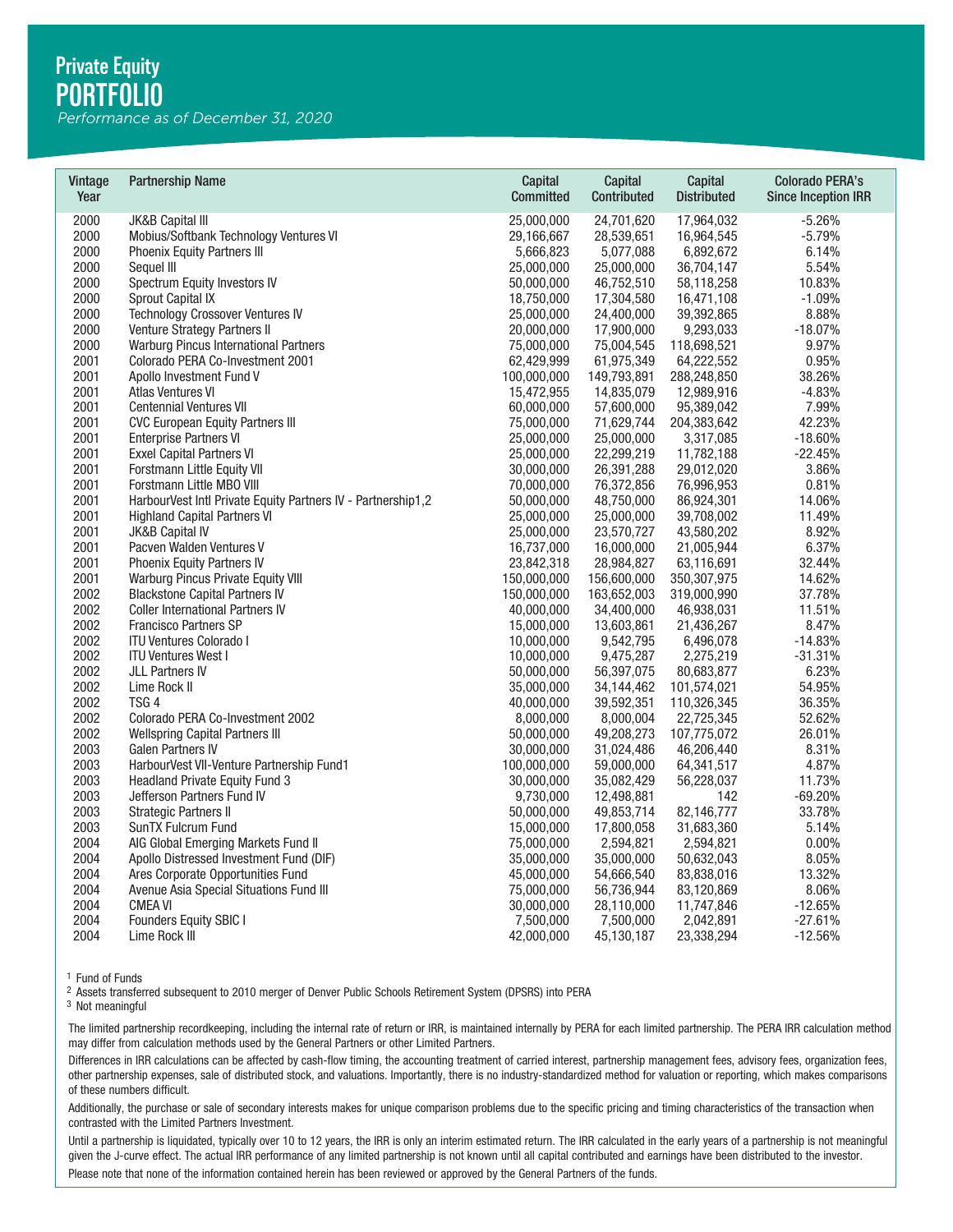*Performance as of December 31, 2020*

| Vintage<br>Year | <b>Partnership Name</b>                                      | Capital<br><b>Committed</b> | Capital<br>Contributed | Capital<br><b>Distributed</b> | <b>Colorado PERA's</b><br><b>Since Inception IRR</b> |
|-----------------|--------------------------------------------------------------|-----------------------------|------------------------|-------------------------------|------------------------------------------------------|
| 2000            | <b>JK&amp;B Capital III</b>                                  | 25,000,000                  | 24,701,620             | 17,964,032                    | $-5.26%$                                             |
| 2000            | Mobius/Softbank Technology Ventures VI                       | 29,166,667                  | 28,539,651             | 16,964,545                    | $-5.79%$                                             |
| 2000            | <b>Phoenix Equity Partners III</b>                           | 5,666,823                   | 5,077,088              | 6,892,672                     | 6.14%                                                |
| 2000            | Sequel III                                                   | 25,000,000                  | 25,000,000             | 36,704,147                    | 5.54%                                                |
| 2000            | Spectrum Equity Investors IV                                 | 50,000,000                  | 46,752,510             | 58,118,258                    | 10.83%                                               |
| 2000            | Sprout Capital IX                                            | 18,750,000                  | 17,304,580             | 16,471,108                    | $-1.09%$                                             |
| 2000            | <b>Technology Crossover Ventures IV</b>                      | 25,000,000                  | 24,400,000             | 39,392,865                    | 8.88%                                                |
| 2000            | Venture Strategy Partners II                                 | 20,000,000                  | 17,900,000             | 9,293,033                     | $-18.07%$                                            |
| 2000            | Warburg Pincus International Partners                        | 75,000,000                  | 75,004,545             | 118,698,521                   | 9.97%                                                |
| 2001            | Colorado PERA Co-Investment 2001                             | 62,429,999                  | 61,975,349             | 64,222,552                    | 0.95%                                                |
| 2001            | Apollo Investment Fund V                                     | 100,000,000                 | 149,793,891            | 288,248,850                   | 38.26%                                               |
| 2001            | Atlas Ventures VI                                            | 15,472,955                  | 14,835,079             | 12,989,916                    | $-4.83%$                                             |
| 2001            | <b>Centennial Ventures VII</b>                               | 60,000,000                  | 57,600,000             | 95,389,042                    | 7.99%                                                |
| 2001            | <b>CVC European Equity Partners III</b>                      | 75,000,000                  | 71,629,744             | 204,383,642                   | 42.23%                                               |
| 2001            | <b>Enterprise Partners VI</b>                                | 25,000,000                  | 25,000,000             | 3,317,085                     | $-18.60%$                                            |
| 2001            | <b>Exxel Capital Partners VI</b>                             | 25,000,000                  | 22,299,219             | 11,782,188                    | $-22.45%$                                            |
| 2001            | Forstmann Little Equity VII                                  | 30,000,000                  | 26,391,288             | 29,012,020                    | 3.86%                                                |
| 2001            | Forstmann Little MBO VIII                                    | 70,000,000                  | 76,372,856             | 76,996,953                    | 0.81%                                                |
| 2001            | HarbourVest Intl Private Equity Partners IV - Partnership1,2 | 50,000,000                  | 48,750,000             | 86,924,301                    | 14.06%                                               |
| 2001            | <b>Highland Capital Partners VI</b>                          | 25,000,000                  | 25,000,000             | 39,708,002                    | 11.49%                                               |
| 2001            | JK&B Capital IV                                              | 25,000,000                  | 23,570,727             | 43,580,202                    | 8.92%                                                |
| 2001            | Pacven Walden Ventures V                                     | 16,737,000                  | 16,000,000             | 21,005,944                    | 6.37%                                                |
| 2001            | Phoenix Equity Partners IV                                   | 23,842,318                  | 28,984,827             | 63,116,691                    | 32.44%                                               |
| 2001            | Warburg Pincus Private Equity VIII                           | 150,000,000                 | 156,600,000            | 350, 307, 975                 | 14.62%                                               |
| 2002            | <b>Blackstone Capital Partners IV</b>                        | 150,000,000                 | 163,652,003            | 319,000,990                   | 37.78%                                               |
| 2002            | <b>Coller International Partners IV</b>                      | 40,000,000                  | 34,400,000             | 46,938,031                    | 11.51%                                               |
| 2002            | <b>Francisco Partners SP</b>                                 | 15,000,000                  | 13,603,861             | 21,436,267                    | 8.47%                                                |
| 2002            | <b>ITU Ventures Colorado I</b>                               | 10,000,000                  | 9,542,795              | 6,496,078                     | $-14.83%$                                            |
| 2002            | <b>ITU Ventures West I</b>                                   | 10,000,000                  | 9,475,287              | 2,275,219                     | $-31.31%$                                            |
| 2002            | <b>JLL Partners IV</b>                                       | 50,000,000                  | 56,397,075             | 80,683,877                    | 6.23%                                                |
| 2002            | Lime Rock II                                                 | 35,000,000                  | 34,144,462             | 101,574,021                   | 54.95%                                               |
| 2002            | TSG <sub>4</sub>                                             | 40,000,000                  | 39,592,351             | 110,326,345                   | 36.35%                                               |
| 2002            | Colorado PERA Co-Investment 2002                             | 8,000,000                   | 8,000,004              | 22,725,345                    | 52.62%                                               |
| 2002            | <b>Wellspring Capital Partners III</b>                       | 50,000,000                  | 49,208,273             | 107,775,072                   | 26.01%                                               |
| 2003            | <b>Galen Partners IV</b>                                     | 30,000,000                  | 31,024,486             | 46,206,440                    | 8.31%                                                |
| 2003            | HarbourVest VII-Venture Partnership Fund1                    | 100,000,000                 | 59,000,000             | 64,341,517                    | 4.87%                                                |
| 2003            | <b>Headland Private Equity Fund 3</b>                        | 30,000,000                  | 35,082,429             | 56,228,037                    | 11.73%                                               |
| 2003            | Jefferson Partners Fund IV                                   | 9,730,000                   | 12,498,881             | 142                           | $-69.20%$                                            |
| 2003            | <b>Strategic Partners II</b>                                 | 50,000,000                  | 49,853,714             | 82,146,777                    | 33.78%                                               |
| 2003            | SunTX Fulcrum Fund                                           | 15,000,000                  | 17,800,058             | 31,683,360                    | 5.14%                                                |
| 2004            | AIG Global Emerging Markets Fund II                          | 75,000,000                  | 2,594,821              | 2,594,821                     | 0.00%                                                |
| 2004            | Apollo Distressed Investment Fund (DIF)                      | 35,000,000                  | 35,000,000             | 50,632,043                    | 8.05%                                                |
| 2004            | Ares Corporate Opportunities Fund                            | 45,000,000                  | 54,666,540             | 83,838,016                    | 13.32%                                               |
| 2004            | Avenue Asia Special Situations Fund III                      | 75,000,000                  | 56,736,944             | 83,120,869                    | 8.06%                                                |
| 2004            | <b>CMEA VI</b>                                               | 30,000,000                  | 28,110,000             | 11,747,846                    | $-12.65%$                                            |
| 2004            | Founders Equity SBIC I                                       | 7,500,000                   | 7,500,000              | 2,042,891                     | $-27.61%$                                            |
| 2004            | Lime Rock III                                                | 42,000,000                  | 45,130,187             | 23,338,294                    | $-12.56%$                                            |

The limited partnership recordkeeping, including the internal rate of return or IRR, is maintained internally by PERA for each limited partnership. The PERA IRR calculation method may differ from calculation methods used by the General Partners or other Limited Partners.

Differences in IRR calculations can be affected by cash-flow timing, the accounting treatment of carried interest, partnership management fees, advisory fees, organization fees, other partnership expenses, sale of distributed stock, and valuations. Importantly, there is no industry-standardized method for valuation or reporting, which makes comparisons of these numbers difficult. <sup>1</sup> Fund of Funds<br><sup>3</sup> Nsests transferred subsequent to 2010 merger of Denver Public Schools Retirement System (DPSRS) into PERA<br><sup>3</sup> Not meaningful<br><sup>3</sup> Not meaningful<br>The limited partnership recordkeeping, including the int

Additionally, the purchase or sale of secondary interests makes for unique comparison problems due to the specific pricing and timing characteristics of the transaction when contrasted with the Limited Partners Investment.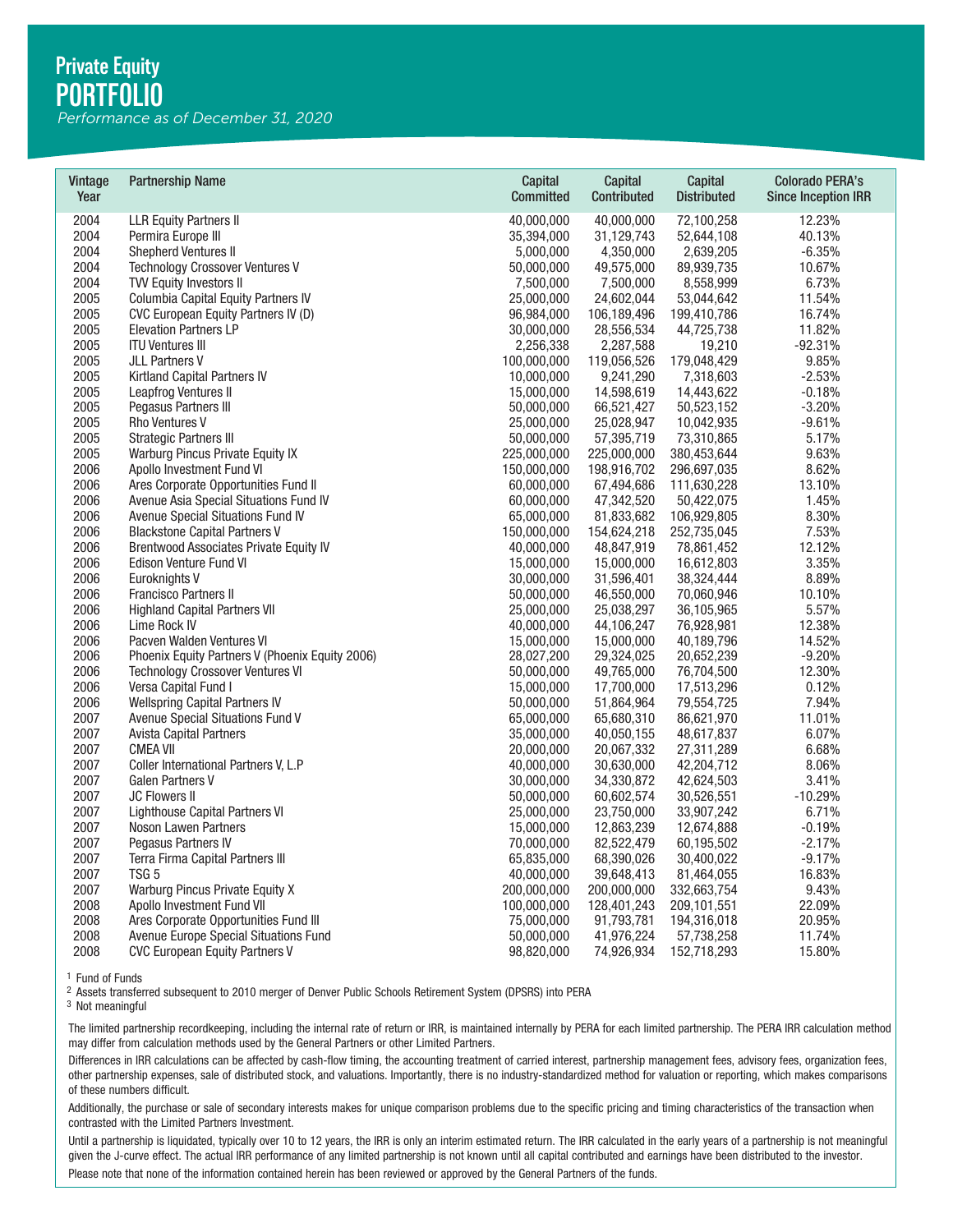*Performance as of December 31, 2020*

| Vintage<br>Year | <b>Partnership Name</b>                         | Capital<br><b>Committed</b> | Capital<br>Contributed | Capital<br><b>Distributed</b> | <b>Colorado PERA's</b><br><b>Since Inception IRR</b> |
|-----------------|-------------------------------------------------|-----------------------------|------------------------|-------------------------------|------------------------------------------------------|
| 2004            | <b>LLR Equity Partners II</b>                   | 40,000,000                  | 40,000,000             | 72,100,258                    | 12.23%                                               |
| 2004            | Permira Europe III                              | 35,394,000                  | 31,129,743             | 52,644,108                    | 40.13%                                               |
| 2004            | <b>Shepherd Ventures II</b>                     | 5,000,000                   | 4,350,000              | 2,639,205                     | $-6.35%$                                             |
| 2004            | <b>Technology Crossover Ventures V</b>          | 50,000,000                  | 49,575,000             | 89,939,735                    | 10.67%                                               |
| 2004            | <b>TVV Equity Investors II</b>                  | 7,500,000                   | 7,500,000              | 8,558,999                     | 6.73%                                                |
| 2005            | Columbia Capital Equity Partners IV             | 25,000,000                  | 24,602,044             | 53,044,642                    | 11.54%                                               |
| 2005            | CVC European Equity Partners IV (D)             | 96,984,000                  | 106,189,496            | 199,410,786                   | 16.74%                                               |
| 2005            | <b>Elevation Partners LP</b>                    | 30,000,000                  | 28,556,534             | 44,725,738                    | 11.82%                                               |
| 2005            | <b>ITU Ventures III</b>                         | 2,256,338                   | 2,287,588              | 19,210                        | $-92.31%$                                            |
| 2005            | <b>JLL Partners V</b>                           | 100,000,000                 | 119,056,526            | 179,048,429                   | 9.85%                                                |
| 2005            | Kirtland Capital Partners IV                    | 10,000,000                  | 9,241,290              | 7,318,603                     | $-2.53%$                                             |
| 2005            | Leapfrog Ventures II                            | 15,000,000                  | 14,598,619             | 14,443,622                    | $-0.18%$                                             |
| 2005            | Pegasus Partners III                            | 50,000,000                  | 66,521,427             | 50,523,152                    | $-3.20%$                                             |
| 2005            | <b>Rho Ventures V</b>                           | 25,000,000                  | 25,028,947             | 10,042,935                    | $-9.61%$                                             |
| 2005            | <b>Strategic Partners III</b>                   | 50,000,000                  | 57,395,719             | 73,310,865                    | 5.17%                                                |
| 2005            | Warburg Pincus Private Equity IX                | 225,000,000                 | 225,000,000            | 380,453,644                   | 9.63%                                                |
| 2006            | Apollo Investment Fund VI                       | 150,000,000                 | 198,916,702            | 296,697,035                   | 8.62%                                                |
| 2006            | Ares Corporate Opportunities Fund II            | 60,000,000                  | 67,494,686             | 111,630,228                   | 13.10%                                               |
| 2006            | Avenue Asia Special Situations Fund IV          | 60,000,000                  | 47,342,520             | 50,422,075                    | 1.45%                                                |
| 2006            | Avenue Special Situations Fund IV               | 65,000,000                  | 81,833,682             | 106,929,805                   | 8.30%                                                |
| 2006            | <b>Blackstone Capital Partners V</b>            | 150,000,000                 | 154,624,218            | 252,735,045                   | 7.53%                                                |
| 2006            | <b>Brentwood Associates Private Equity IV</b>   | 40,000,000                  | 48,847,919             | 78,861,452                    | 12.12%                                               |
| 2006            | Edison Venture Fund VI                          | 15,000,000                  | 15,000,000             | 16,612,803                    | 3.35%                                                |
| 2006            | Euroknights V                                   | 30,000,000                  | 31,596,401             | 38,324,444                    | 8.89%                                                |
| 2006            | <b>Francisco Partners II</b>                    | 50,000,000                  | 46,550,000             | 70,060,946                    | 10.10%                                               |
| 2006            | <b>Highland Capital Partners VII</b>            | 25,000,000                  | 25,038,297             | 36,105,965                    | 5.57%                                                |
| 2006            | Lime Rock IV                                    | 40,000,000                  | 44,106,247             | 76,928,981                    | 12.38%                                               |
| 2006            | Pacven Walden Ventures VI                       | 15,000,000                  | 15,000,000             | 40,189,796                    | 14.52%                                               |
| 2006            | Phoenix Equity Partners V (Phoenix Equity 2006) | 28,027,200                  | 29,324,025             | 20,652,239                    | $-9.20%$                                             |
| 2006            | Technology Crossover Ventures VI                | 50,000,000                  | 49,765,000             | 76,704,500                    | 12.30%                                               |
| 2006            | Versa Capital Fund I                            | 15,000,000                  | 17,700,000             | 17,513,296                    | 0.12%                                                |
| 2006            | <b>Wellspring Capital Partners IV</b>           | 50,000,000                  | 51,864,964             | 79,554,725                    | 7.94%                                                |
| 2007            | Avenue Special Situations Fund V                | 65,000,000                  | 65,680,310             | 86,621,970                    | 11.01%                                               |
| 2007            | <b>Avista Capital Partners</b>                  | 35,000,000                  | 40,050,155             | 48,617,837                    | 6.07%                                                |
| 2007            | <b>CMEA VII</b>                                 | 20,000,000                  | 20,067,332             | 27,311,289                    | 6.68%                                                |
| 2007            | Coller International Partners V, L.P            | 40,000,000                  | 30,630,000             | 42,204,712                    | 8.06%                                                |
| 2007            | <b>Galen Partners V</b>                         | 30,000,000                  | 34,330,872             | 42,624,503                    | 3.41%                                                |
| 2007            | <b>JC Flowers II</b>                            | 50,000,000                  | 60,602,574             | 30,526,551                    | $-10.29%$                                            |
| 2007            | Lighthouse Capital Partners VI                  | 25,000,000                  | 23,750,000             | 33,907,242                    | 6.71%                                                |
| 2007            | Noson Lawen Partners                            | 15,000,000                  | 12,863,239             | 12,674,888                    | $-0.19%$                                             |
| 2007            | Pegasus Partners IV                             | 70,000,000                  | 82,522,479             | 60,195,502                    | $-2.17%$                                             |
| 2007            | Terra Firma Capital Partners III                | 65,835,000                  | 68,390,026             | 30,400,022                    | $-9.17%$                                             |
| 2007            | TSG <sub>5</sub>                                | 40,000,000                  | 39,648,413             | 81,464,055                    | 16.83%                                               |
| 2007            | Warburg Pincus Private Equity X                 | 200,000,000                 | 200,000,000            | 332,663,754                   | 9.43%                                                |
| 2008            | Apollo Investment Fund VII                      | 100,000,000                 | 128,401,243            | 209,101,551                   | 22.09%                                               |
| 2008            | Ares Corporate Opportunities Fund III           | 75,000,000                  | 91,793,781             | 194,316,018                   | 20.95%                                               |
| 2008            | Avenue Europe Special Situations Fund           | 50,000,000                  | 41,976,224             | 57,738,258                    | 11.74%                                               |
| 2008            | <b>CVC European Equity Partners V</b>           | 98,820,000                  | 74,926,934             | 152,718,293                   | 15.80%                                               |

The limited partnership recordkeeping, including the internal rate of return or IRR, is maintained internally by PERA for each limited partnership. The PERA IRR calculation method may differ from calculation methods used by the General Partners or other Limited Partners.

Differences in IRR calculations can be affected by cash-flow timing, the accounting treatment of carried interest, partnership management fees, advisory fees, organization fees, other partnership expenses, sale of distributed stock, and valuations. Importantly, there is no industry-standardized method for valuation or reporting, which makes comparisons of these numbers difficult. <sup>1</sup> Fund of Funds<br><sup>3</sup> Nsests transferred subsequent to 2010 merger of Denver Public Schools Retirement System (DPSRS) into PERA<br><sup>3</sup> Not meaningful<br><sup>3</sup> Not meaningful<br>The limited partnership recordkeeping, including the int

Additionally, the purchase or sale of secondary interests makes for unique comparison problems due to the specific pricing and timing characteristics of the transaction when contrasted with the Limited Partners Investment.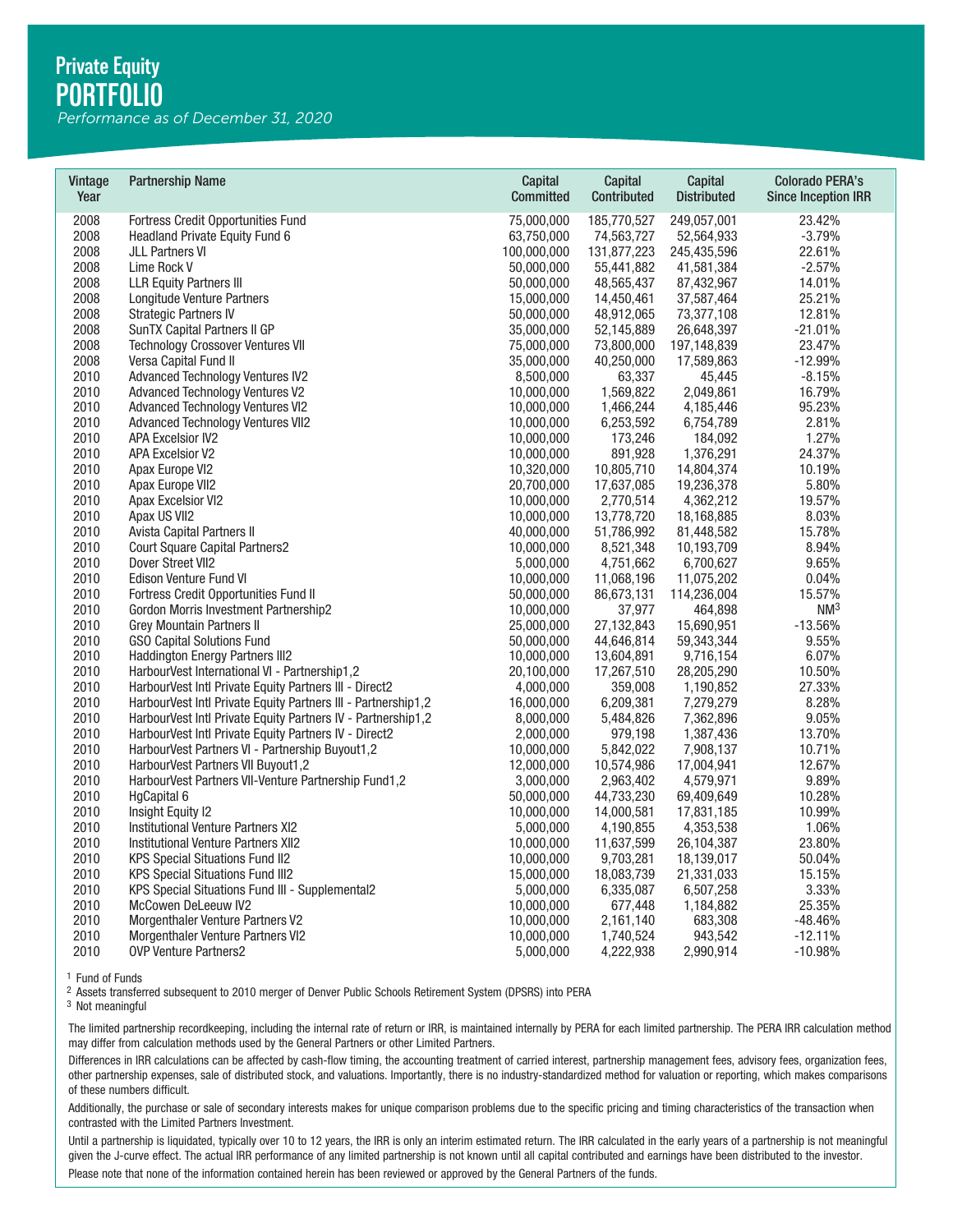*Performance as of December 31, 2020*

| Vintage<br>Year | <b>Partnership Name</b>                                       | Capital<br><b>Committed</b> | Capital<br>Contributed | Capital<br><b>Distributed</b> | <b>Colorado PERA's</b><br><b>Since Inception IRR</b> |
|-----------------|---------------------------------------------------------------|-----------------------------|------------------------|-------------------------------|------------------------------------------------------|
| 2008            | Fortress Credit Opportunities Fund                            | 75,000,000                  | 185,770,527            | 249,057,001                   | 23.42%                                               |
| 2008            | Headland Private Equity Fund 6                                | 63,750,000                  | 74,563,727             | 52,564,933                    | $-3.79%$                                             |
| 2008            | <b>JLL Partners VI</b>                                        | 100,000,000                 | 131,877,223            | 245,435,596                   | 22.61%                                               |
| 2008            | Lime Rock V                                                   | 50,000,000                  | 55.441.882             | 41,581,384                    | $-2.57%$                                             |
| 2008            | <b>LLR Equity Partners III</b>                                | 50,000,000                  | 48,565,437             | 87,432,967                    | 14.01%                                               |
| 2008            | Longitude Venture Partners                                    | 15,000,000                  | 14,450,461             | 37,587,464                    | 25.21%                                               |
| 2008            | <b>Strategic Partners IV</b>                                  | 50,000,000                  | 48,912,065             | 73,377,108                    | 12.81%                                               |
| 2008            | SunTX Capital Partners II GP                                  | 35,000,000                  | 52,145,889             | 26,648,397                    | $-21.01%$                                            |
| 2008            | <b>Technology Crossover Ventures VII</b>                      | 75,000,000                  | 73,800,000             | 197,148,839                   | 23.47%                                               |
| 2008            | Versa Capital Fund II                                         | 35,000,000                  | 40,250,000             | 17,589,863                    | $-12.99%$                                            |
| 2010            | <b>Advanced Technology Ventures IV2</b>                       | 8,500,000                   | 63,337                 | 45,445                        | $-8.15%$                                             |
| 2010            | <b>Advanced Technology Ventures V2</b>                        | 10,000,000                  | 1,569,822              | 2,049,861                     | 16.79%                                               |
| 2010            | <b>Advanced Technology Ventures VI2</b>                       | 10,000,000                  | 1,466,244              | 4,185,446                     | 95.23%                                               |
| 2010            | <b>Advanced Technology Ventures VII2</b>                      | 10,000,000                  | 6,253,592              | 6,754,789                     | 2.81%                                                |
| 2010            | <b>APA Excelsior IV2</b>                                      | 10,000,000                  | 173,246                | 184,092                       | 1.27%                                                |
| 2010            | <b>APA Excelsior V2</b>                                       | 10,000,000                  | 891,928                | 1,376,291                     | 24.37%                                               |
| 2010            | Apax Europe VI2                                               | 10,320,000                  | 10,805,710             | 14,804,374                    | 10.19%                                               |
| 2010            | Apax Europe VII2                                              | 20,700,000                  | 17,637,085             | 19,236,378                    | 5.80%                                                |
| 2010            | <b>Apax Excelsior VI2</b>                                     | 10,000,000                  | 2,770,514              | 4,362,212                     | 19.57%                                               |
| 2010            | Apax US VII2                                                  | 10,000,000                  | 13,778,720             | 18,168,885                    | 8.03%                                                |
| 2010            | Avista Capital Partners II                                    | 40,000,000                  | 51,786,992             | 81,448,582                    | 15.78%                                               |
| 2010            | <b>Court Square Capital Partners2</b>                         | 10,000,000                  | 8,521,348              | 10,193,709                    | 8.94%                                                |
| 2010            | Dover Street VII2                                             | 5,000,000                   | 4,751,662              | 6,700,627                     | 9.65%                                                |
| 2010            | Edison Venture Fund VI                                        | 10,000,000                  | 11,068,196             | 11,075,202                    | 0.04%                                                |
| 2010            | Fortress Credit Opportunities Fund II                         | 50,000,000                  | 86,673,131             | 114,236,004                   | 15.57%                                               |
| 2010            | Gordon Morris Investment Partnership2                         | 10,000,000                  | 37,977                 | 464,898                       | NM <sup>3</sup>                                      |
| 2010            | <b>Grey Mountain Partners II</b>                              | 25,000,000                  | 27,132,843             | 15,690,951                    | $-13.56%$                                            |
| 2010            | <b>GSO Capital Solutions Fund</b>                             | 50,000,000                  | 44,646,814             | 59,343,344                    | 9.55%                                                |
| 2010            | Haddington Energy Partners III2                               | 10,000,000                  | 13,604,891             | 9,716,154                     | 6.07%                                                |
| 2010            | HarbourVest International VI - Partnership1,2                 | 20,100,000                  | 17,267,510             | 28,205,290                    | 10.50%                                               |
| 2010            | HarbourVest Intl Private Equity Partners III - Direct2        | 4,000,000                   | 359,008                | 1,190,852                     | 27.33%                                               |
| 2010            | HarbourVest Intl Private Equity Partners III - Partnership1,2 | 16,000,000                  | 6,209,381              | 7,279,279                     | 8.28%                                                |
| 2010            | HarbourVest Intl Private Equity Partners IV - Partnership1,2  | 8,000,000                   | 5,484,826              | 7,362,896                     | 9.05%                                                |
| 2010            | HarbourVest Intl Private Equity Partners IV - Direct2         | 2,000,000                   | 979,198                | 1,387,436                     | 13.70%                                               |
| 2010            | HarbourVest Partners VI - Partnership Buyout1,2               | 10,000,000                  | 5,842,022              | 7,908,137                     | 10.71%                                               |
| 2010            | <b>HarbourVest Partners VII Buyout1,2</b>                     | 12,000,000                  | 10,574,986             | 17,004,941                    | 12.67%                                               |
| 2010            | HarbourVest Partners VII-Venture Partnership Fund1,2          | 3,000,000                   | 2,963,402              | 4,579,971                     | 9.89%                                                |
| 2010            | HgCapital 6                                                   | 50,000,000                  | 44,733,230             | 69,409,649                    | 10.28%                                               |
| 2010            | Insight Equity I2                                             | 10,000,000                  | 14,000,581             | 17,831,185                    | 10.99%                                               |
| 2010            | Institutional Venture Partners XI2                            | 5,000,000                   | 4,190,855              | 4,353,538                     | 1.06%                                                |
| 2010            | Institutional Venture Partners XII2                           | 10,000,000                  | 11,637,599             | 26,104,387                    | 23.80%                                               |
| 2010            | <b>KPS Special Situations Fund II2</b>                        | 10,000,000                  | 9,703,281              | 18,139,017                    | 50.04%                                               |
| 2010            | <b>KPS Special Situations Fund III2</b>                       | 15,000,000                  | 18,083,739             | 21,331,033                    | 15.15%                                               |
| 2010            | KPS Special Situations Fund III - Supplemental2               | 5,000,000                   | 6,335,087              | 6,507,258                     | 3.33%                                                |
| 2010            | McCowen DeLeeuw IV2                                           | 10,000,000                  | 677,448                | 1,184,882                     | 25.35%                                               |
| 2010            | Morgenthaler Venture Partners V2                              | 10,000,000                  | 2,161,140              | 683,308                       | $-48.46%$                                            |
| 2010            | <b>Morgenthaler Venture Partners VI2</b>                      | 10,000,000                  | 1,740,524              | 943,542                       | $-12.11%$                                            |
| 2010            | <b>OVP Venture Partners2</b>                                  | 5,000,000                   | 4,222,938              | 2,990,914                     | $-10.98%$                                            |

The limited partnership recordkeeping, including the internal rate of return or IRR, is maintained internally by PERA for each limited partnership. The PERA IRR calculation method may differ from calculation methods used by the General Partners or other Limited Partners.

Differences in IRR calculations can be affected by cash-flow timing, the accounting treatment of carried interest, partnership management fees, advisory fees, organization fees, other partnership expenses, sale of distributed stock, and valuations. Importantly, there is no industry-standardized method for valuation or reporting, which makes comparisons of these numbers difficult. <sup>1</sup> Fund of Funds<br><sup>3</sup> Nsests transferred subsequent to 2010 merger of Denver Public Schools Retirement System (DPSRS) into PERA<br><sup>3</sup> Not meaningful<br><sup>3</sup> Not meaningful<br>The limited partnership recordkeeping, including the int

Additionally, the purchase or sale of secondary interests makes for unique comparison problems due to the specific pricing and timing characteristics of the transaction when contrasted with the Limited Partners Investment.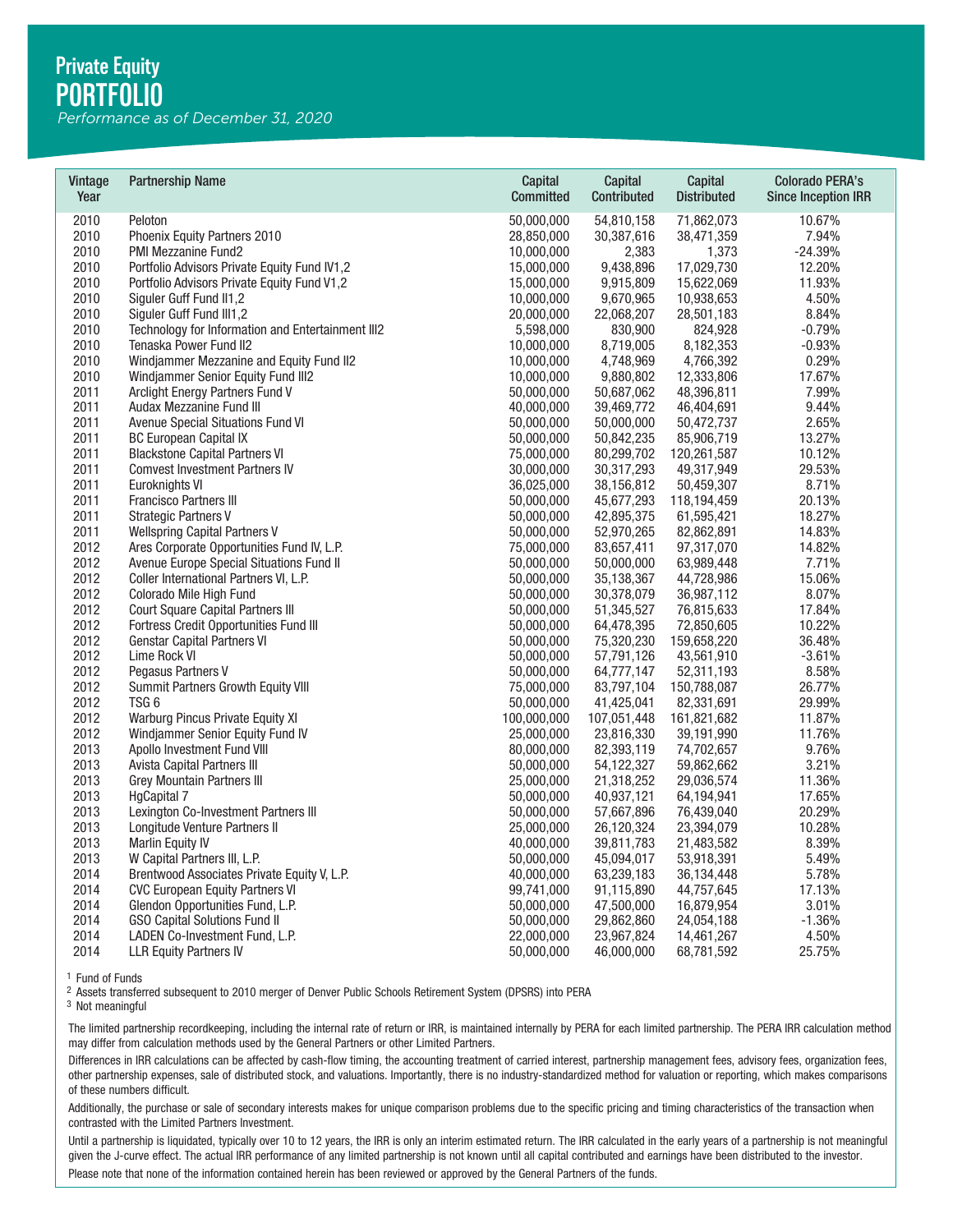*Performance as of December 31, 2020*

| Vintage<br>Year | <b>Partnership Name</b>                           | Capital<br><b>Committed</b> | Capital<br>Contributed | Capital<br><b>Distributed</b> | <b>Colorado PERA's</b><br><b>Since Inception IRR</b> |
|-----------------|---------------------------------------------------|-----------------------------|------------------------|-------------------------------|------------------------------------------------------|
| 2010            | Peloton                                           | 50,000,000                  | 54,810,158             | 71,862,073                    | 10.67%                                               |
| 2010            | Phoenix Equity Partners 2010                      | 28,850,000                  | 30,387,616             | 38,471,359                    | 7.94%                                                |
| 2010            | PMI Mezzanine Fund2                               | 10,000,000                  | 2,383                  | 1,373                         | $-24.39%$                                            |
| 2010            | Portfolio Advisors Private Equity Fund IV1,2      | 15,000,000                  | 9,438,896              | 17,029,730                    | 12.20%                                               |
| 2010            | Portfolio Advisors Private Equity Fund V1,2       | 15,000,000                  | 9,915,809              | 15,622,069                    | 11.93%                                               |
| 2010            | Siguler Guff Fund II1,2                           | 10,000,000                  | 9,670,965              | 10,938,653                    | 4.50%                                                |
| 2010            | Siguler Guff Fund III1,2                          | 20,000,000                  | 22,068,207             | 28,501,183                    | 8.84%                                                |
| 2010            | Technology for Information and Entertainment III2 | 5,598,000                   | 830,900                | 824,928                       | $-0.79%$                                             |
| 2010            | Tenaska Power Fund II2                            | 10,000,000                  | 8,719,005              | 8,182,353                     | $-0.93%$                                             |
| 2010            | Windjammer Mezzanine and Equity Fund II2          | 10,000,000                  | 4,748,969              | 4,766,392                     | 0.29%                                                |
| 2010            | Windjammer Senior Equity Fund III2                | 10,000,000                  | 9,880,802              | 12,333,806                    | 17.67%                                               |
| 2011            | Arclight Energy Partners Fund V                   | 50,000,000                  | 50,687,062             | 48,396,811                    | 7.99%                                                |
| 2011            | Audax Mezzanine Fund III                          | 40,000,000                  | 39,469,772             | 46,404,691                    | 9.44%                                                |
| 2011            | Avenue Special Situations Fund VI                 | 50,000,000                  | 50,000,000             | 50,472,737                    | 2.65%                                                |
| 2011            | <b>BC European Capital IX</b>                     | 50,000,000                  | 50,842,235             | 85,906,719                    | 13.27%                                               |
| 2011            | <b>Blackstone Capital Partners VI</b>             | 75,000,000                  | 80,299,702             | 120,261,587                   | 10.12%                                               |
| 2011            | <b>Comvest Investment Partners IV</b>             | 30,000,000                  | 30,317,293             | 49,317,949                    | 29.53%                                               |
| 2011            | Euroknights VI                                    | 36,025,000                  | 38,156,812             | 50,459,307                    | 8.71%                                                |
| 2011            | Francisco Partners III                            | 50,000,000                  | 45,677,293             | 118,194,459                   | 20.13%                                               |
| 2011            | <b>Strategic Partners V</b>                       | 50,000,000                  | 42,895,375             | 61,595,421                    | 18.27%                                               |
| 2011            | <b>Wellspring Capital Partners V</b>              | 50,000,000                  | 52,970,265             | 82,862,891                    | 14.83%                                               |
| 2012            | Ares Corporate Opportunities Fund IV, L.P.        | 75,000,000                  | 83,657,411             | 97,317,070                    | 14.82%                                               |
| 2012            | Avenue Europe Special Situations Fund II          | 50,000,000                  | 50,000,000             | 63,989,448                    | 7.71%                                                |
| 2012            | Coller International Partners VI, L.P.            | 50,000,000                  | 35,138,367             | 44,728,986                    | 15.06%                                               |
| 2012            | Colorado Mile High Fund                           | 50,000,000                  | 30,378,079             | 36,987,112                    | 8.07%                                                |
| 2012            | Court Square Capital Partners III                 | 50,000,000                  | 51,345,527             | 76,815,633                    | 17.84%                                               |
| 2012            | Fortress Credit Opportunities Fund III            | 50,000,000                  | 64,478,395             | 72,850,605                    | 10.22%                                               |
| 2012            | <b>Genstar Capital Partners VI</b>                | 50,000,000                  | 75,320,230             | 159,658,220                   | 36.48%                                               |
| 2012            | Lime Rock VI                                      | 50,000,000                  | 57,791,126             | 43,561,910                    | $-3.61%$                                             |
| 2012            | Pegasus Partners V                                | 50,000,000                  | 64,777,147             | 52,311,193                    | 8.58%                                                |
| 2012            | Summit Partners Growth Equity VIII                | 75,000,000                  | 83,797,104             | 150,788,087                   | 26.77%                                               |
| 2012            | TSG <sub>6</sub>                                  | 50,000,000                  | 41,425,041             | 82,331,691                    | 29.99%                                               |
| 2012            | Warburg Pincus Private Equity XI                  | 100,000,000                 | 107,051,448            | 161,821,682                   | 11.87%                                               |
| 2012            | Windjammer Senior Equity Fund IV                  | 25,000,000                  | 23,816,330             | 39,191,990                    | 11.76%                                               |
| 2013            | Apollo Investment Fund VIII                       | 80,000,000                  | 82,393,119             | 74,702,657                    | 9.76%                                                |
| 2013            | <b>Avista Capital Partners III</b>                | 50,000,000                  | 54,122,327             | 59,862,662                    | 3.21%                                                |
| 2013            | <b>Grey Mountain Partners III</b>                 | 25,000,000                  | 21,318,252             | 29,036,574                    | 11.36%                                               |
| 2013            | <b>HgCapital 7</b>                                | 50,000,000                  | 40,937,121             | 64,194,941                    | 17.65%                                               |
| 2013            | Lexington Co-Investment Partners III              | 50,000,000                  | 57,667,896             | 76,439,040                    | 20.29%                                               |
| 2013            | Longitude Venture Partners II                     | 25,000,000                  | 26,120,324             | 23,394,079                    | 10.28%                                               |
| 2013            | Marlin Equity IV                                  | 40,000,000                  | 39,811,783             | 21,483,582                    | 8.39%                                                |
| 2013            | W Capital Partners III, L.P.                      | 50,000,000                  | 45,094,017             | 53,918,391                    | 5.49%                                                |
| 2014            | Brentwood Associates Private Equity V, L.P.       | 40,000,000                  | 63,239,183             | 36,134,448                    | 5.78%                                                |
| 2014            | <b>CVC European Equity Partners VI</b>            | 99,741,000                  | 91,115,890             | 44,757,645                    | 17.13%                                               |
| 2014            | Glendon Opportunities Fund, L.P.                  | 50,000,000                  | 47,500,000             | 16,879,954                    | 3.01%                                                |
| 2014            | <b>GSO Capital Solutions Fund II</b>              | 50,000,000                  | 29,862,860             | 24,054,188                    | $-1.36%$                                             |
| 2014            | LADEN Co-Investment Fund, L.P.                    | 22,000,000                  | 23,967,824             | 14,461,267                    | 4.50%                                                |
| 2014            | <b>LLR Equity Partners IV</b>                     | 50.000.000                  | 46.000.000             | 68.781.592                    | 25.75%                                               |

The limited partnership recordkeeping, including the internal rate of return or IRR, is maintained internally by PERA for each limited partnership. The PERA IRR calculation method may differ from calculation methods used by the General Partners or other Limited Partners.

Differences in IRR calculations can be affected by cash-flow timing, the accounting treatment of carried interest, partnership management fees, advisory fees, organization fees, other partnership expenses, sale of distributed stock, and valuations. Importantly, there is no industry-standardized method for valuation or reporting, which makes comparisons of these numbers difficult. <sup>1</sup> Fund of Funds<br><sup>3</sup> Nsests transferred subsequent to 2010 merger of Denver Public Schools Retirement System (DPSRS) into PERA<br><sup>3</sup> Not meaningful<br><sup>3</sup> Not meaningful<br>The limited partnership recordkeeping, including the int

Additionally, the purchase or sale of secondary interests makes for unique comparison problems due to the specific pricing and timing characteristics of the transaction when contrasted with the Limited Partners Investment.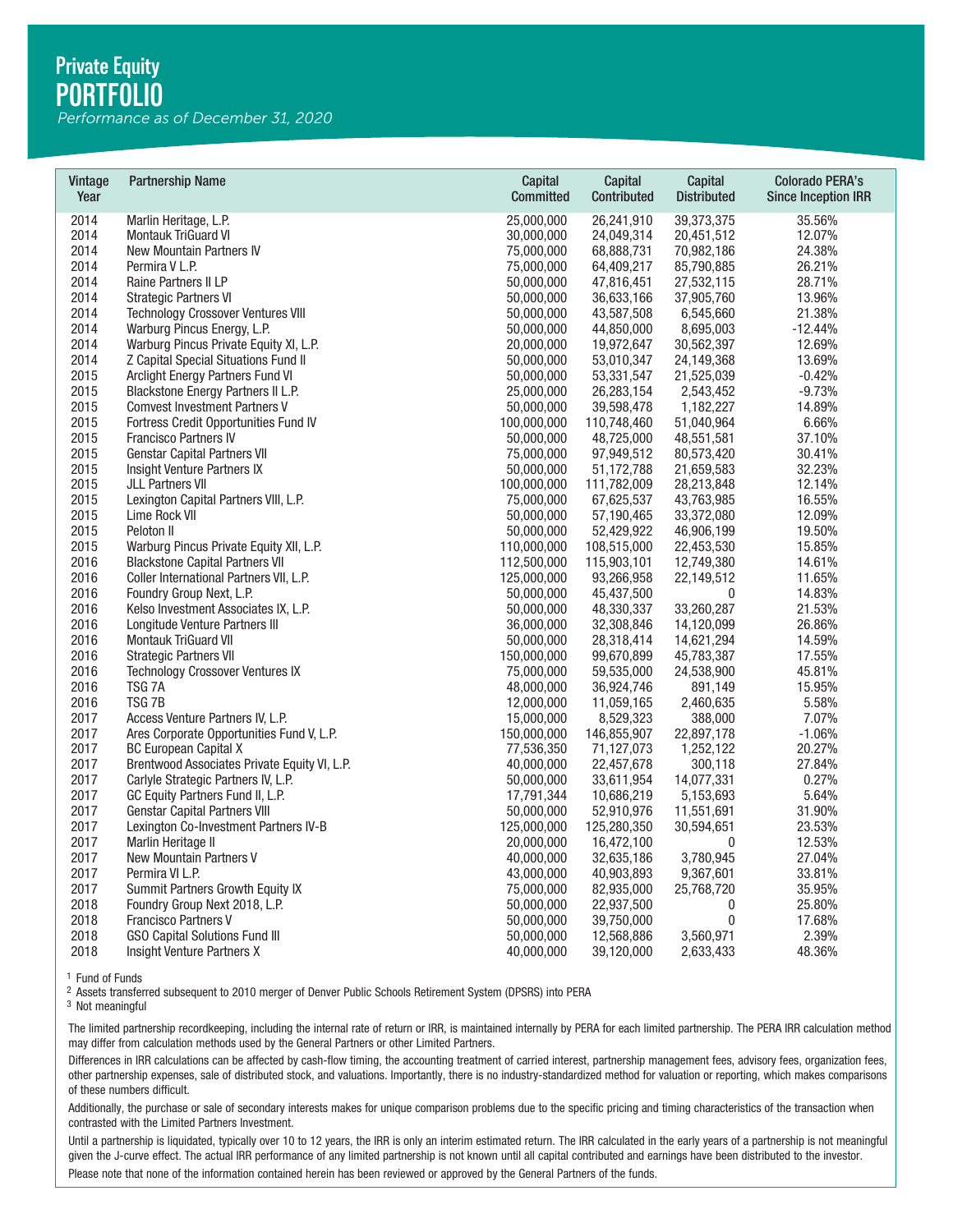*Performance as of December 31, 2020*

| Vintage<br>Year | <b>Partnership Name</b>                      | Capital<br><b>Committed</b> | <b>Capital</b><br>Contributed | <b>Capital</b><br><b>Distributed</b> | <b>Colorado PERA's</b><br><b>Since Inception IRR</b> |
|-----------------|----------------------------------------------|-----------------------------|-------------------------------|--------------------------------------|------------------------------------------------------|
| 2014            | Marlin Heritage, L.P.                        | 25,000,000                  | 26,241,910                    | 39,373,375                           | 35.56%                                               |
| 2014            | <b>Montauk TriGuard VI</b>                   | 30,000,000                  | 24,049,314                    | 20,451,512                           | 12.07%                                               |
| 2014            | New Mountain Partners IV                     | 75,000,000                  | 68,888,731                    | 70,982,186                           | 24.38%                                               |
| 2014            | Permira V L.P.                               | 75,000,000                  | 64,409,217                    | 85,790,885                           | 26.21%                                               |
| 2014            | Raine Partners II LP                         | 50,000,000                  | 47,816,451                    | 27,532,115                           | 28.71%                                               |
| 2014            | <b>Strategic Partners VI</b>                 | 50,000,000                  | 36,633,166                    | 37,905,760                           | 13.96%                                               |
| 2014            | <b>Technology Crossover Ventures VIII</b>    | 50,000,000                  | 43,587,508                    | 6,545,660                            | 21.38%                                               |
| 2014            | Warburg Pincus Energy, L.P.                  | 50,000,000                  | 44,850,000                    | 8,695,003                            | $-12.44%$                                            |
| 2014            | Warburg Pincus Private Equity XI, L.P.       | 20,000,000                  | 19,972,647                    | 30,562,397                           | 12.69%                                               |
| 2014            | Z Capital Special Situations Fund II         | 50,000,000                  | 53,010,347                    | 24,149,368                           | 13.69%                                               |
| 2015            | Arclight Energy Partners Fund VI             | 50,000,000                  | 53,331,547                    | 21,525,039                           | $-0.42%$                                             |
| 2015            | Blackstone Energy Partners II L.P.           | 25,000,000                  | 26,283,154                    | 2,543,452                            | $-9.73%$                                             |
| 2015            | <b>Comvest Investment Partners V</b>         | 50,000,000                  | 39,598,478                    | 1,182,227                            | 14.89%                                               |
| 2015            | Fortress Credit Opportunities Fund IV        | 100,000,000                 | 110,748,460                   | 51,040,964                           | 6.66%                                                |
| 2015            | Francisco Partners IV                        | 50,000,000                  | 48,725,000                    | 48,551,581                           | 37.10%                                               |
| 2015            | <b>Genstar Capital Partners VII</b>          | 75,000,000                  | 97,949,512                    | 80,573,420                           | 30.41%                                               |
| 2015            | Insight Venture Partners IX                  | 50,000,000                  | 51,172,788                    | 21,659,583                           | 32.23%                                               |
| 2015            | <b>JLL Partners VII</b>                      | 100,000,000                 | 111,782,009                   | 28,213,848                           | 12.14%                                               |
| 2015            | Lexington Capital Partners VIII, L.P.        | 75,000,000                  | 67,625,537                    | 43,763,985                           | 16.55%                                               |
| 2015            | Lime Rock VII                                | 50,000,000                  | 57,190,465                    | 33,372,080                           | 12.09%                                               |
| 2015            | Peloton II                                   | 50,000,000                  | 52,429,922                    | 46,906,199                           | 19.50%                                               |
| 2015            | Warburg Pincus Private Equity XII, L.P.      | 110,000,000                 | 108,515,000                   | 22,453,530                           | 15.85%                                               |
| 2016            | <b>Blackstone Capital Partners VII</b>       | 112,500,000                 | 115,903,101                   | 12,749,380                           | 14.61%                                               |
| 2016            | Coller International Partners VII, L.P.      | 125,000,000                 | 93,266,958                    | 22,149,512                           | 11.65%                                               |
| 2016            | Foundry Group Next, L.P.                     | 50,000,000                  | 45,437,500                    | $\mathbf 0$                          | 14.83%                                               |
| 2016            | Kelso Investment Associates IX, L.P.         | 50,000,000                  | 48,330,337                    | 33,260,287                           | 21.53%                                               |
| 2016            | Longitude Venture Partners III               | 36,000,000                  | 32,308,846                    | 14,120,099                           | 26.86%                                               |
| 2016            | Montauk TriGuard VII                         | 50,000,000                  | 28,318,414                    | 14,621,294                           | 14.59%                                               |
| 2016            | <b>Strategic Partners VII</b>                | 150,000,000                 | 99,670,899                    | 45,783,387                           | 17.55%                                               |
| 2016            | <b>Technology Crossover Ventures IX</b>      | 75,000,000                  | 59,535,000                    | 24,538,900                           | 45.81%                                               |
| 2016            | TSG 7A                                       | 48,000,000                  | 36,924,746                    | 891,149                              | 15.95%                                               |
| 2016            | TSG <sub>7B</sub>                            | 12,000,000                  | 11,059,165                    | 2,460,635                            | 5.58%                                                |
| 2017            | Access Venture Partners IV, L.P.             | 15,000,000                  | 8,529,323                     | 388,000                              | 7.07%                                                |
| 2017            | Ares Corporate Opportunities Fund V, L.P.    | 150,000,000                 | 146,855,907                   | 22,897,178                           | $-1.06%$                                             |
| 2017            | <b>BC European Capital X</b>                 | 77,536,350                  | 71,127,073                    | 1,252,122                            | 20.27%                                               |
| 2017            | Brentwood Associates Private Equity VI, L.P. | 40,000,000                  | 22,457,678                    | 300,118                              | 27.84%                                               |
| 2017            | Carlyle Strategic Partners IV, L.P.          | 50,000,000                  | 33,611,954                    | 14,077,331                           | 0.27%                                                |
| 2017            | GC Equity Partners Fund II, L.P.             | 17,791,344                  | 10,686,219                    | 5,153,693                            | 5.64%                                                |
| 2017            | <b>Genstar Capital Partners VIII</b>         | 50,000,000                  | 52,910,976                    | 11,551,691                           | 31.90%                                               |
| 2017            | Lexington Co-Investment Partners IV-B        | 125,000,000                 | 125,280,350                   | 30,594,651                           | 23.53%                                               |
| 2017            | Marlin Heritage II                           | 20,000,000                  | 16,472,100                    | 0                                    | 12.53%                                               |
| 2017            | New Mountain Partners V                      | 40,000,000                  | 32,635,186                    | 3,780,945                            | 27.04%                                               |
| 2017            | Permira VI L.P.                              | 43,000,000                  | 40,903,893                    | 9,367,601                            | 33.81%                                               |
| 2017            | Summit Partners Growth Equity IX             | 75,000,000                  | 82,935,000                    | 25,768,720                           | 35.95%                                               |
| 2018            | Foundry Group Next 2018, L.P.                | 50,000,000                  | 22,937,500                    | 0                                    | 25.80%                                               |
| 2018            | Francisco Partners V                         | 50,000,000                  | 39,750,000                    | $\boldsymbol{0}$                     | 17.68%                                               |
| 2018            | <b>GSO Capital Solutions Fund III</b>        | 50,000,000                  | 12,568,886                    | 3,560,971                            | 2.39%                                                |
| 2018            | Insight Venture Partners X                   | 40,000,000                  | 39,120,000                    | 2,633,433                            | 48.36%                                               |

The limited partnership recordkeeping, including the internal rate of return or IRR, is maintained internally by PERA for each limited partnership. The PERA IRR calculation method may differ from calculation methods used by the General Partners or other Limited Partners.

Differences in IRR calculations can be affected by cash-flow timing, the accounting treatment of carried interest, partnership management fees, advisory fees, organization fees, other partnership expenses, sale of distributed stock, and valuations. Importantly, there is no industry-standardized method for valuation or reporting, which makes comparisons of these numbers difficult. <sup>1</sup> Fund of Funds<br><sup>3</sup> Nsests transferred subsequent to 2010 merger of Denver Public Schools Retirement System (DPSRS) into PERA<br><sup>3</sup> Not meaningful<br><sup>3</sup> Not meaningful<br>The limited partnership recordkeeping, including the int

Additionally, the purchase or sale of secondary interests makes for unique comparison problems due to the specific pricing and timing characteristics of the transaction when contrasted with the Limited Partners Investment.